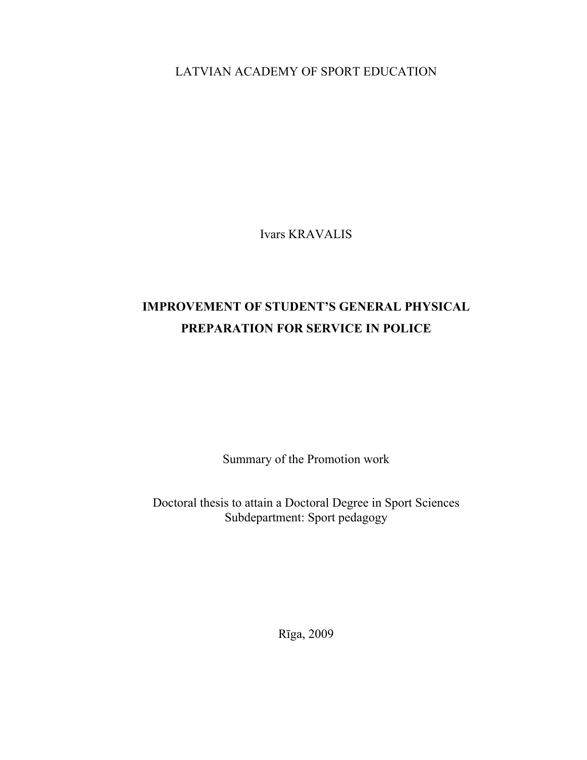LATVIAN ACADEMY OF SPORT EDUCATION

Ivars KRAVALIS

# **IMPROVEMENT OF STUDENT'S GENERAL PHYSICAL PREPARATION FOR SERVICE IN POLICE**

Summary of the Promotion work

Doctoral thesis to attain a Doctoral Degree in Sport Sciences Subdepartment: Sport pedagogy

Rīga, 2009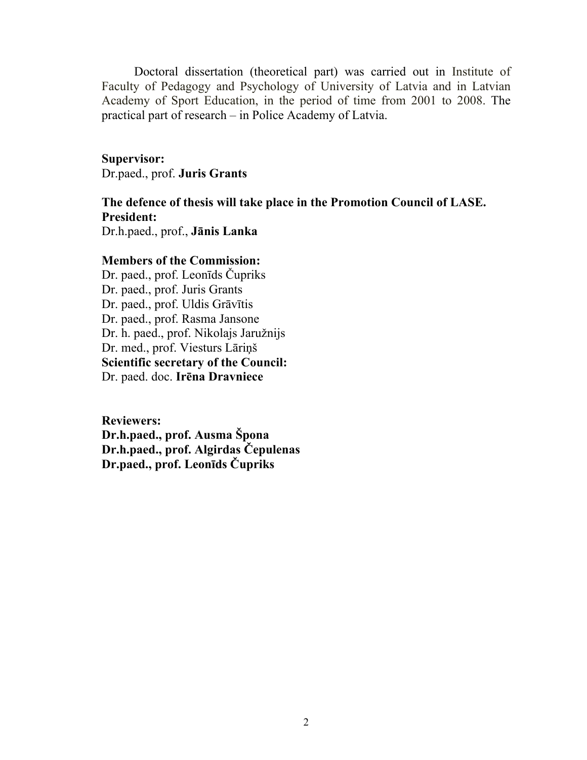Doctoral dissertation (theoretical part) was carried out in Institute of Faculty of Pedagogy and Psychology of University of Latvia and in Latvian Academy of Sport Education, in the period of time from 2001 to 2008. The practical part of research – in Police Academy of Latvia.

**Supervisor:**  Dr.paed., prof. **Juris Grants**

**The defence of thesis will take place in the Promotion Council of LASE. President:**  Dr.h.paed., prof., **Jānis Lanka** 

# **Members of the Commission:**

Dr. paed., prof. Leonīds Čupriks Dr. paed., prof. Juris Grants Dr. paed., prof. Uldis Grāvītis Dr. paed., prof. Rasma Jansone Dr. h. paed., prof. Nikolajs Jaružnijs Dr. med., prof. Viesturs Lāriņš **Scientific secretary of the Council:**  Dr. paed. doc. **Irēna Dravniece** 

**Reviewers: Dr.h.paed., prof. Ausma Špona Dr.h.paed., prof. Algirdas Čepulenas Dr.paed., prof. Leonīds Čupriks**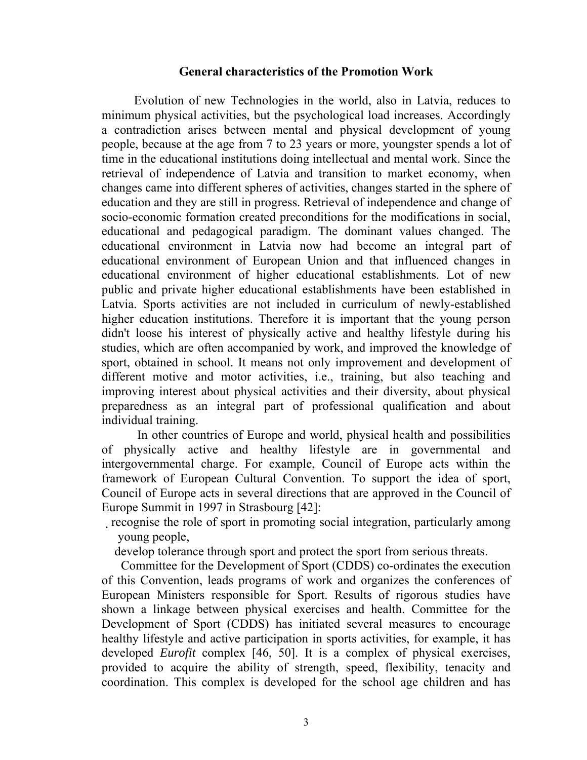#### **General characteristics of the Promotion Work**

Evolution of new Technologies in the world, also in Latvia, reduces to minimum physical activities, but the psychological load increases. Accordingly a contradiction arises between mental and physical development of young people, because at the age from 7 to 23 years or more, youngster spends a lot of time in the educational institutions doing intellectual and mental work. Since the retrieval of independence of Latvia and transition to market economy, when changes came into different spheres of activities, changes started in the sphere of education and they are still in progress. Retrieval of independence and change of socio-economic formation created preconditions for the modifications in social, educational and pedagogical paradigm. The dominant values changed. The educational environment in Latvia now had become an integral part of educational environment of European Union and that influenced changes in educational environment of higher educational establishments. Lot of new public and private higher educational establishments have been established in Latvia. Sports activities are not included in curriculum of newly-established higher education institutions. Therefore it is important that the young person didn't loose his interest of physically active and healthy lifestyle during his studies, which are often accompanied by work, and improved the knowledge of sport, obtained in school. It means not only improvement and development of different motive and motor activities, i.e., training, but also teaching and improving interest about physical activities and their diversity, about physical preparedness as an integral part of professional qualification and about individual training.

 In other countries of Europe and world, physical health and possibilities of physically active and healthy lifestyle are in governmental and intergovernmental charge. For example, Council of Europe acts within the framework of European Cultural Convention. To support the idea of sport, Council of Europe acts in several directions that are approved in the Council of Europe Summit in 1997 in Strasbourg [42]:

recognise the role of sport in promoting social integration, particularly among young people,

develop tolerance through sport and protect the sport from serious threats.

 Committee for the Development of Sport (CDDS) co-ordinates the execution of this Convention, leads programs of work and organizes the conferences of European Ministers responsible for Sport. Results of rigorous studies have shown a linkage between physical exercises and health. Committee for the Development of Sport (CDDS) has initiated several measures to encourage healthy lifestyle and active participation in sports activities, for example, it has developed *Eurofit* complex [46, 50]. It is a complex of physical exercises, provided to acquire the ability of strength, speed, flexibility, tenacity and coordination. This complex is developed for the school age children and has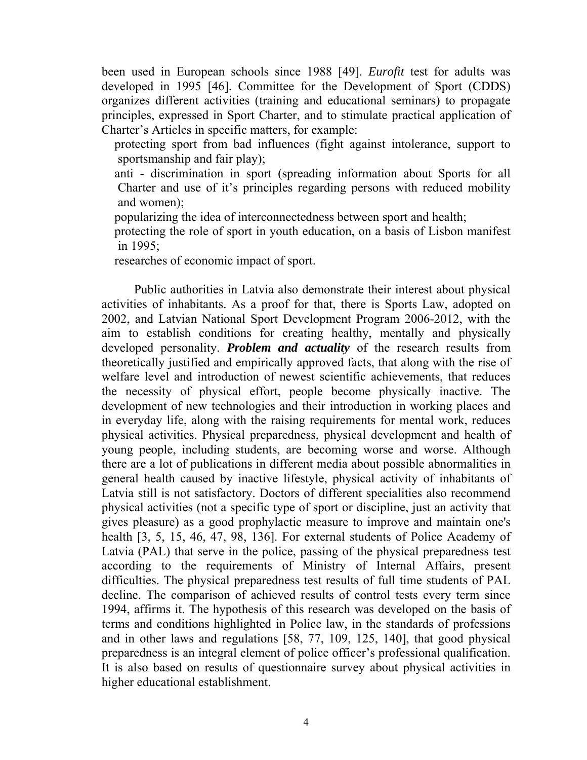been used in European schools since 1988 [49]. *Eurofit* test for adults was developed in 1995 [46]. Committee for the Development of Sport (CDDS) organizes different activities (training and educational seminars) to propagate principles, expressed in Sport Charter, and to stimulate practical application of Charter's Articles in specific matters, for example:

 protecting sport from bad influences (fight against intolerance, support to sportsmanship and fair play);

- anti discrimination in sport (spreading information about Sports for all Charter and use of it's principles regarding persons with reduced mobility and women);
- popularizing the idea of interconnectedness between sport and health;

 protecting the role of sport in youth education, on a basis of Lisbon manifest in 1995;

researches of economic impact of sport.

 Public authorities in Latvia also demonstrate their interest about physical activities of inhabitants. As a proof for that, there is Sports Law, adopted on 2002, and Latvian National Sport Development Program 2006-2012, with the aim to establish conditions for creating healthy, mentally and physically developed personality. *Problem and actuality* of the research results from theoretically justified and empirically approved facts, that along with the rise of welfare level and introduction of newest scientific achievements, that reduces the necessity of physical effort, people become physically inactive. The development of new technologies and their introduction in working places and in everyday life, along with the raising requirements for mental work, reduces physical activities. Physical preparedness, physical development and health of young people, including students, are becoming worse and worse. Although there are a lot of publications in different media about possible abnormalities in general health caused by inactive lifestyle, physical activity of inhabitants of Latvia still is not satisfactory. Doctors of different specialities also recommend physical activities (not a specific type of sport or discipline, just an activity that gives pleasure) as a good prophylactic measure to improve and maintain one's health [3, 5, 15, 46, 47, 98, 136]. For external students of Police Academy of Latvia (PAL) that serve in the police, passing of the physical preparedness test according to the requirements of Ministry of Internal Affairs, present difficulties. The physical preparedness test results of full time students of PAL decline. The comparison of achieved results of control tests every term since 1994, affirms it. The hypothesis of this research was developed on the basis of terms and conditions highlighted in Police law, in the standards of professions and in other laws and regulations [58, 77, 109, 125, 140], that good physical preparedness is an integral element of police officer's professional qualification. It is also based on results of questionnaire survey about physical activities in higher educational establishment.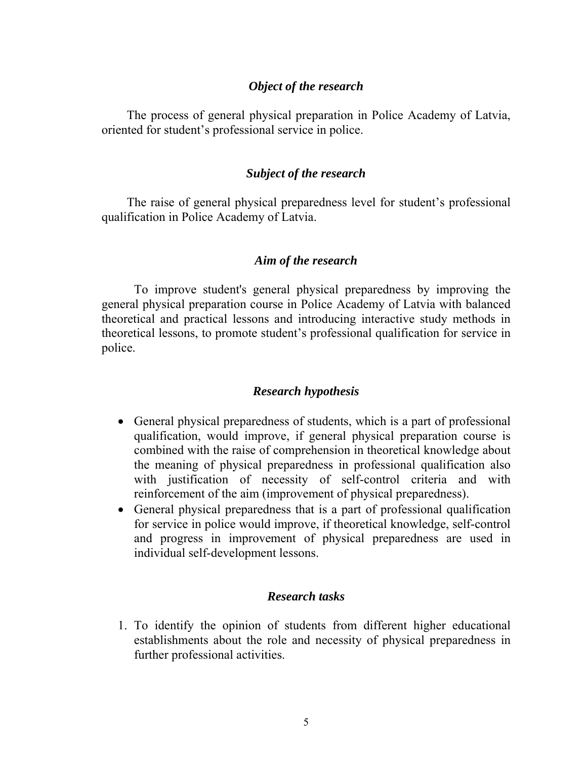### *Object of the research*

 The process of general physical preparation in Police Academy of Latvia, oriented for student's professional service in police.

### *Subject of the research*

 The raise of general physical preparedness level for student's professional qualification in Police Academy of Latvia.

### *Aim of the research*

To improve student's general physical preparedness by improving the general physical preparation course in Police Academy of Latvia with balanced theoretical and practical lessons and introducing interactive study methods in theoretical lessons, to promote student's professional qualification for service in police.

# *Research hypothesis*

- General physical preparedness of students, which is a part of professional qualification, would improve, if general physical preparation course is combined with the raise of comprehension in theoretical knowledge about the meaning of physical preparedness in professional qualification also with justification of necessity of self-control criteria and with reinforcement of the aim (improvement of physical preparedness).
- General physical preparedness that is a part of professional qualification for service in police would improve, if theoretical knowledge, self-control and progress in improvement of physical preparedness are used in individual self-development lessons.

# *Research tasks*

1. To identify the opinion of students from different higher educational establishments about the role and necessity of physical preparedness in further professional activities.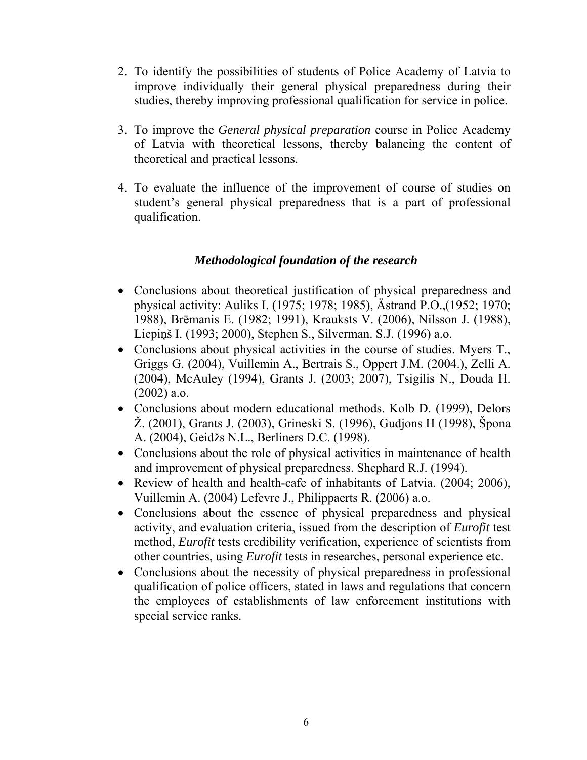- 2. To identify the possibilities of students of Police Academy of Latvia to improve individually their general physical preparedness during their studies, thereby improving professional qualification for service in police.
- 3. To improve the *General physical preparation* course in Police Academy of Latvia with theoretical lessons, thereby balancing the content of theoretical and practical lessons.
- 4. To evaluate the influence of the improvement of course of studies on student's general physical preparedness that is a part of professional qualification.

# *Methodological foundation of the research*

- Conclusions about theoretical justification of physical preparedness and physical activity: Auliks I. (1975; 1978; 1985), Ästrand P.O.,(1952; 1970; 1988), Brēmanis E. (1982; 1991), Krauksts V. (2006), Nilsson J. (1988), Liepiņš I. (1993; 2000), Stephen S., Silverman. S.J. (1996) a.o.
- Conclusions about physical activities in the course of studies. Myers T., Griggs G. (2004), Vuillemin A., Bertrais S., Oppert J.M. (2004.), Zelli A. (2004), McAuley (1994), Grants J. (2003; 2007), Tsigilis N., Douda H. (2002) a.o.
- Conclusions about modern educational methods. Kolb D. (1999), Delors Ž. (2001), Grants J. (2003), Grineski S. (1996), Gudjons H (1998), Špona A. (2004), Geidžs N.L., Berliners D.C. (1998).
- Conclusions about the role of physical activities in maintenance of health and improvement of physical preparedness. Shephard R.J. (1994).
- Review of health and health-cafe of inhabitants of Latvia. (2004; 2006), Vuillemin A. (2004) Lefevre J., Philippaerts R. (2006) a.o.
- Conclusions about the essence of physical preparedness and physical activity, and evaluation criteria, issued from the description of *Eurofit* test method, *Eurofit* tests credibility verification, experience of scientists from other countries, using *Eurofit* tests in researches, personal experience etc.
- Conclusions about the necessity of physical preparedness in professional qualification of police officers, stated in laws and regulations that concern the employees of establishments of law enforcement institutions with special service ranks.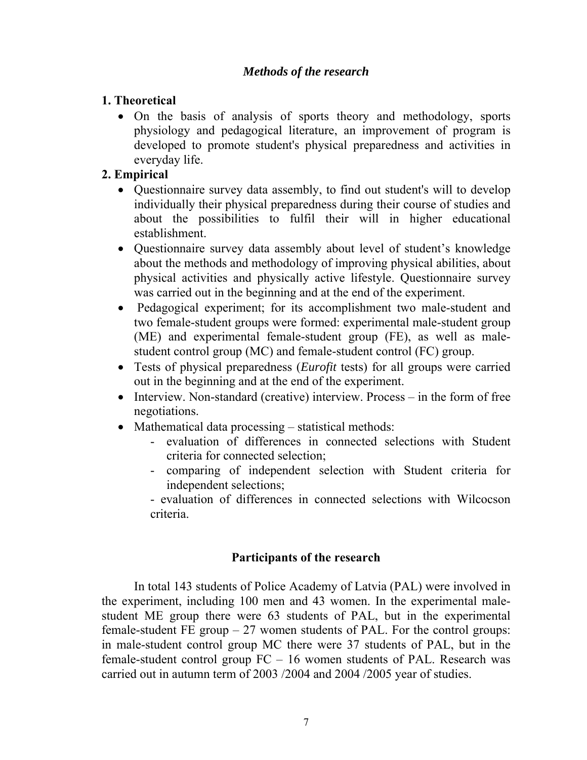# *Methods of the research*

# **1. Theoretical**

• On the basis of analysis of sports theory and methodology, sports physiology and pedagogical literature, an improvement of program is developed to promote student's physical preparedness and activities in everyday life.

# **2. Empirical**

- Questionnaire survey data assembly, to find out student's will to develop individually their physical preparedness during their course of studies and about the possibilities to fulfil their will in higher educational establishment.
- Questionnaire survey data assembly about level of student's knowledge about the methods and methodology of improving physical abilities, about physical activities and physically active lifestyle. Questionnaire survey was carried out in the beginning and at the end of the experiment.
- Pedagogical experiment; for its accomplishment two male-student and two female-student groups were formed: experimental male-student group (ME) and experimental female-student group (FE), as well as malestudent control group (MC) and female-student control (FC) group.
- Tests of physical preparedness (*Eurofit* tests) for all groups were carried out in the beginning and at the end of the experiment.
- Interview. Non-standard (creative) interview. Process in the form of free negotiations.
- Mathematical data processing statistical methods:
	- evaluation of differences in connected selections with Student criteria for connected selection;
	- comparing of independent selection with Student criteria for independent selections;
	- evaluation of differences in connected selections with Wilcocson criteria.

# **Participants of the research**

 In total 143 students of Police Academy of Latvia (PAL) were involved in the experiment, including 100 men and 43 women. In the experimental malestudent ME group there were 63 students of PAL, but in the experimental female-student FE group  $-27$  women students of PAL. For the control groups: in male-student control group MC there were 37 students of PAL, but in the female-student control group FC – 16 women students of PAL. Research was carried out in autumn term of 2003 /2004 and 2004 /2005 year of studies.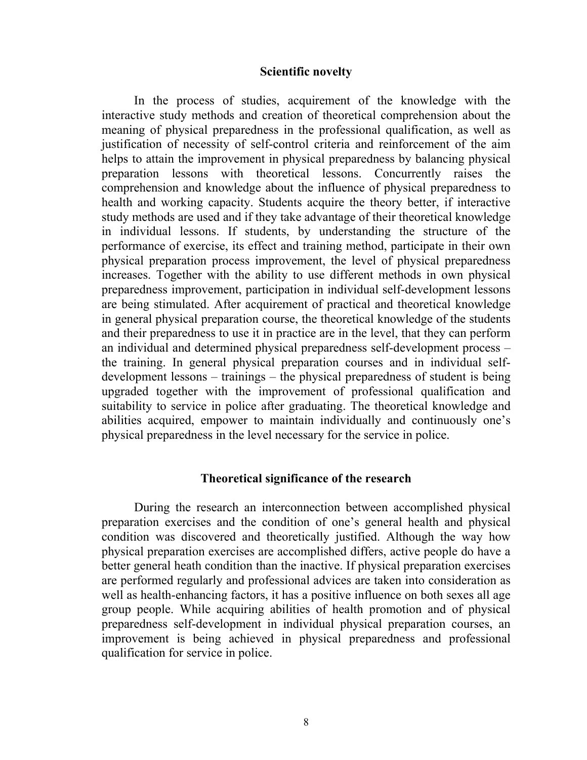#### **Scientific novelty**

 In the process of studies, acquirement of the knowledge with the interactive study methods and creation of theoretical comprehension about the meaning of physical preparedness in the professional qualification, as well as justification of necessity of self-control criteria and reinforcement of the aim helps to attain the improvement in physical preparedness by balancing physical preparation lessons with theoretical lessons. Concurrently raises the comprehension and knowledge about the influence of physical preparedness to health and working capacity. Students acquire the theory better, if interactive study methods are used and if they take advantage of their theoretical knowledge in individual lessons. If students, by understanding the structure of the performance of exercise, its effect and training method, participate in their own physical preparation process improvement, the level of physical preparedness increases. Together with the ability to use different methods in own physical preparedness improvement, participation in individual self-development lessons are being stimulated. After acquirement of practical and theoretical knowledge in general physical preparation course, the theoretical knowledge of the students and their preparedness to use it in practice are in the level, that they can perform an individual and determined physical preparedness self-development process – the training. In general physical preparation courses and in individual selfdevelopment lessons – trainings – the physical preparedness of student is being upgraded together with the improvement of professional qualification and suitability to service in police after graduating. The theoretical knowledge and abilities acquired, empower to maintain individually and continuously one's physical preparedness in the level necessary for the service in police.

#### **Theoretical significance of the research**

 During the research an interconnection between accomplished physical preparation exercises and the condition of one's general health and physical condition was discovered and theoretically justified. Although the way how physical preparation exercises are accomplished differs, active people do have a better general heath condition than the inactive. If physical preparation exercises are performed regularly and professional advices are taken into consideration as well as health-enhancing factors, it has a positive influence on both sexes all age group people. While acquiring abilities of health promotion and of physical preparedness self-development in individual physical preparation courses, an improvement is being achieved in physical preparedness and professional qualification for service in police.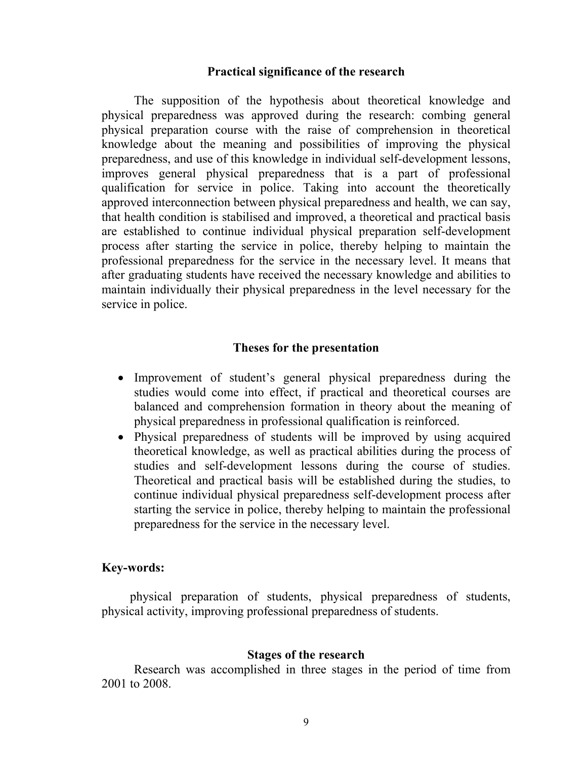#### **Practical significance of the research**

The supposition of the hypothesis about theoretical knowledge and physical preparedness was approved during the research: combing general physical preparation course with the raise of comprehension in theoretical knowledge about the meaning and possibilities of improving the physical preparedness, and use of this knowledge in individual self-development lessons, improves general physical preparedness that is a part of professional qualification for service in police. Taking into account the theoretically approved interconnection between physical preparedness and health, we can say, that health condition is stabilised and improved, a theoretical and practical basis are established to continue individual physical preparation self-development process after starting the service in police, thereby helping to maintain the professional preparedness for the service in the necessary level. It means that after graduating students have received the necessary knowledge and abilities to maintain individually their physical preparedness in the level necessary for the service in police.

#### **Theses for the presentation**

- Improvement of student's general physical preparedness during the studies would come into effect, if practical and theoretical courses are balanced and comprehension formation in theory about the meaning of physical preparedness in professional qualification is reinforced.
- Physical preparedness of students will be improved by using acquired theoretical knowledge, as well as practical abilities during the process of studies and self-development lessons during the course of studies. Theoretical and practical basis will be established during the studies, to continue individual physical preparedness self-development process after starting the service in police, thereby helping to maintain the professional preparedness for the service in the necessary level.

#### **Key-words:**

 physical preparation of students, physical preparedness of students, physical activity, improving professional preparedness of students.

#### **Stages of the research**

Research was accomplished in three stages in the period of time from 2001 to 2008.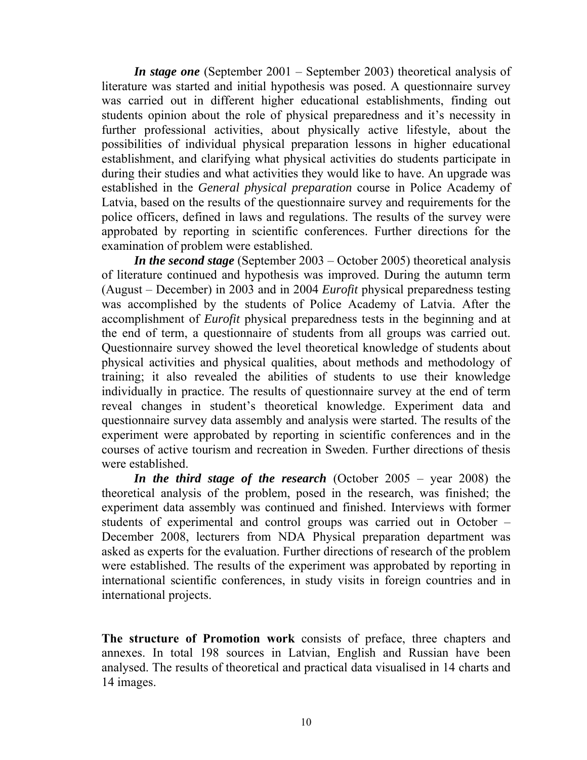*In stage one* (September 2001 – September 2003) theoretical analysis of literature was started and initial hypothesis was posed. A questionnaire survey was carried out in different higher educational establishments, finding out students opinion about the role of physical preparedness and it's necessity in further professional activities, about physically active lifestyle, about the possibilities of individual physical preparation lessons in higher educational establishment, and clarifying what physical activities do students participate in during their studies and what activities they would like to have. An upgrade was established in the *General physical preparation* course in Police Academy of Latvia, based on the results of the questionnaire survey and requirements for the police officers, defined in laws and regulations. The results of the survey were approbated by reporting in scientific conferences. Further directions for the examination of problem were established.

*In the second stage* (September 2003 – October 2005) theoretical analysis of literature continued and hypothesis was improved. During the autumn term (August – December) in 2003 and in 2004 *Eurofit* physical preparedness testing was accomplished by the students of Police Academy of Latvia. After the accomplishment of *Eurofit* physical preparedness tests in the beginning and at the end of term, a questionnaire of students from all groups was carried out. Questionnaire survey showed the level theoretical knowledge of students about physical activities and physical qualities, about methods and methodology of training; it also revealed the abilities of students to use their knowledge individually in practice. The results of questionnaire survey at the end of term reveal changes in student's theoretical knowledge. Experiment data and questionnaire survey data assembly and analysis were started. The results of the experiment were approbated by reporting in scientific conferences and in the courses of active tourism and recreation in Sweden. Further directions of thesis were established.

*In the third stage of the research* (October 2005 – year 2008) the theoretical analysis of the problem, posed in the research, was finished; the experiment data assembly was continued and finished. Interviews with former students of experimental and control groups was carried out in October – December 2008, lecturers from NDA Physical preparation department was asked as experts for the evaluation. Further directions of research of the problem were established. The results of the experiment was approbated by reporting in international scientific conferences, in study visits in foreign countries and in international projects.

**The structure of Promotion work** consists of preface, three chapters and annexes. In total 198 sources in Latvian, English and Russian have been analysed. The results of theoretical and practical data visualised in 14 charts and 14 images.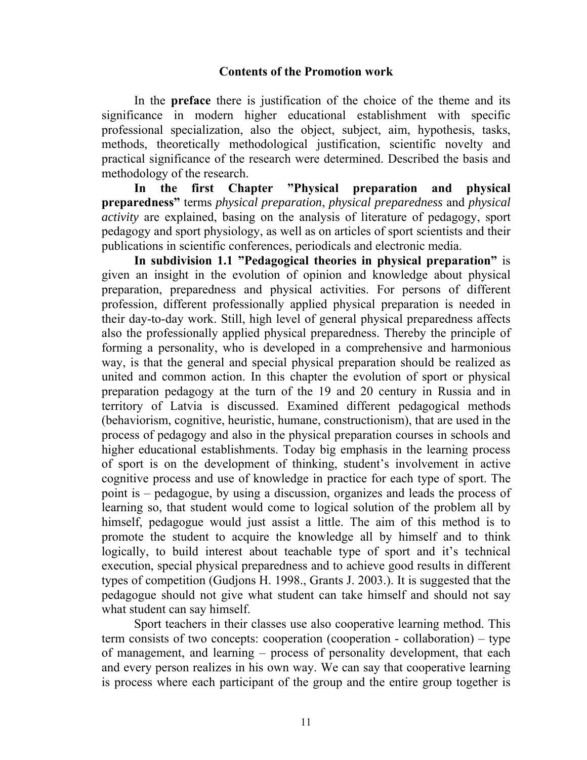# **Contents of the Promotion work**

In the **preface** there is justification of the choice of the theme and its significance in modern higher educational establishment with specific professional specialization, also the object, subject, aim, hypothesis, tasks, methods, theoretically methodological justification, scientific novelty and practical significance of the research were determined. Described the basis and methodology of the research.

**In the first Chapter "Physical preparation and physical preparedness"** terms *physical preparation*, *physical preparedness* and *physical activity* are explained, basing on the analysis of literature of pedagogy, sport pedagogy and sport physiology, as well as on articles of sport scientists and their publications in scientific conferences, periodicals and electronic media.

**In subdivision 1.1 "Pedagogical theories in physical preparation"** is given an insight in the evolution of opinion and knowledge about physical preparation, preparedness and physical activities. For persons of different profession, different professionally applied physical preparation is needed in their day-to-day work. Still, high level of general physical preparedness affects also the professionally applied physical preparedness. Thereby the principle of forming a personality, who is developed in a comprehensive and harmonious way, is that the general and special physical preparation should be realized as united and common action. In this chapter the evolution of sport or physical preparation pedagogy at the turn of the 19 and 20 century in Russia and in territory of Latvia is discussed. Examined different pedagogical methods (behaviorism, cognitive, heuristic, humane, constructionism), that are used in the process of pedagogy and also in the physical preparation courses in schools and higher educational establishments. Today big emphasis in the learning process of sport is on the development of thinking, student's involvement in active cognitive process and use of knowledge in practice for each type of sport. The point is – pedagogue, by using a discussion, organizes and leads the process of learning so, that student would come to logical solution of the problem all by himself, pedagogue would just assist a little. The aim of this method is to promote the student to acquire the knowledge all by himself and to think logically, to build interest about teachable type of sport and it's technical execution, special physical preparedness and to achieve good results in different types of competition (Gudjons H. 1998., Grants J. 2003.). It is suggested that the pedagogue should not give what student can take himself and should not say what student can say himself.

Sport teachers in their classes use also cooperative learning method. This term consists of two concepts: cooperation (cooperation - collaboration) – type of management, and learning – process of personality development, that each and every person realizes in his own way. We can say that cooperative learning is process where each participant of the group and the entire group together is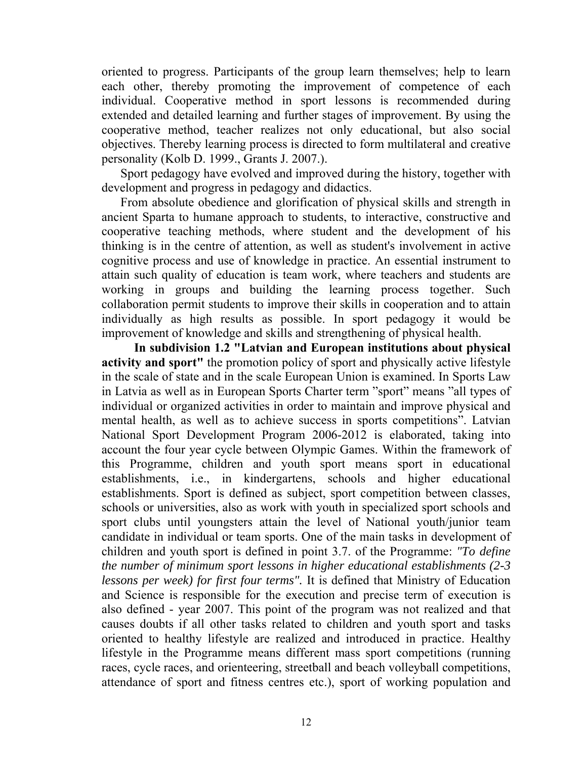oriented to progress. Participants of the group learn themselves; help to learn each other, thereby promoting the improvement of competence of each individual. Cooperative method in sport lessons is recommended during extended and detailed learning and further stages of improvement. By using the cooperative method, teacher realizes not only educational, but also social objectives. Thereby learning process is directed to form multilateral and creative personality (Kolb D. 1999., Grants J. 2007.).

Sport pedagogy have evolved and improved during the history, together with development and progress in pedagogy and didactics.

From absolute obedience and glorification of physical skills and strength in ancient Sparta to humane approach to students, to interactive, constructive and cooperative teaching methods, where student and the development of his thinking is in the centre of attention, as well as student's involvement in active cognitive process and use of knowledge in practice. An essential instrument to attain such quality of education is team work, where teachers and students are working in groups and building the learning process together. Such collaboration permit students to improve their skills in cooperation and to attain individually as high results as possible. In sport pedagogy it would be improvement of knowledge and skills and strengthening of physical health.

**In subdivision 1.2 "Latvian and European institutions about physical activity and sport"** the promotion policy of sport and physically active lifestyle in the scale of state and in the scale European Union is examined. In Sports Law in Latvia as well as in European Sports Charter term "sport" means "all types of individual or organized activities in order to maintain and improve physical and mental health, as well as to achieve success in sports competitions". Latvian National Sport Development Program 2006-2012 is elaborated, taking into account the four year cycle between Olympic Games. Within the framework of this Programme, children and youth sport means sport in educational establishments, i.e., in kindergartens, schools and higher educational establishments. Sport is defined as subject, sport competition between classes, schools or universities, also as work with youth in specialized sport schools and sport clubs until youngsters attain the level of National youth/junior team candidate in individual or team sports. One of the main tasks in development of children and youth sport is defined in point 3.7. of the Programme: *"To define the number of minimum sport lessons in higher educational establishments (2-3 lessons per week) for first four terms".* It is defined that Ministry of Education and Science is responsible for the execution and precise term of execution is also defined - year 2007. This point of the program was not realized and that causes doubts if all other tasks related to children and youth sport and tasks oriented to healthy lifestyle are realized and introduced in practice. Healthy lifestyle in the Programme means different mass sport competitions (running races, cycle races, and orienteering, streetball and beach volleyball competitions, attendance of sport and fitness centres etc.), sport of working population and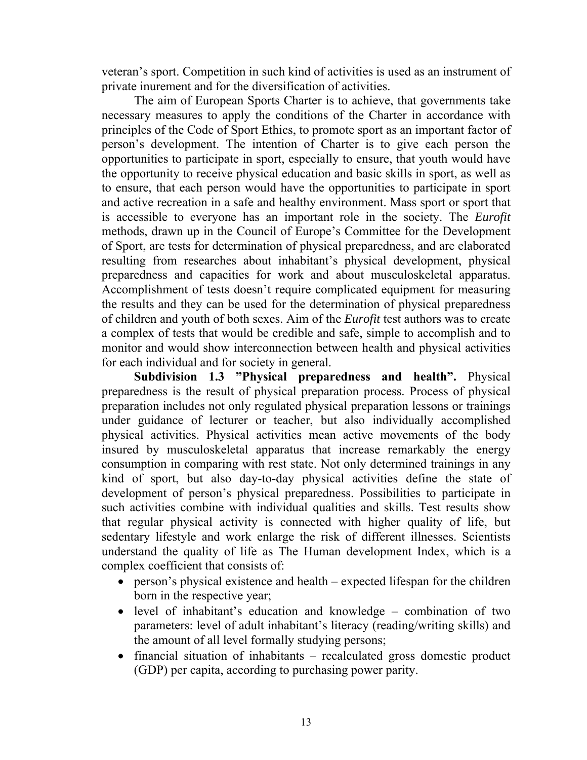veteran's sport. Competition in such kind of activities is used as an instrument of private inurement and for the diversification of activities.

The aim of European Sports Charter is to achieve, that governments take necessary measures to apply the conditions of the Charter in accordance with principles of the Code of Sport Ethics, to promote sport as an important factor of person's development. The intention of Charter is to give each person the opportunities to participate in sport, especially to ensure, that youth would have the opportunity to receive physical education and basic skills in sport, as well as to ensure, that each person would have the opportunities to participate in sport and active recreation in a safe and healthy environment. Mass sport or sport that is accessible to everyone has an important role in the society. The *Eurofit* methods, drawn up in the Council of Europe's Committee for the Development of Sport, are tests for determination of physical preparedness, and are elaborated resulting from researches about inhabitant's physical development, physical preparedness and capacities for work and about musculoskeletal apparatus. Accomplishment of tests doesn't require complicated equipment for measuring the results and they can be used for the determination of physical preparedness of children and youth of both sexes. Aim of the *Eurofit* test authors was to create a complex of tests that would be credible and safe, simple to accomplish and to monitor and would show interconnection between health and physical activities for each individual and for society in general.

**Subdivision 1.3 "Physical preparedness and health".** Physical preparedness is the result of physical preparation process. Process of physical preparation includes not only regulated physical preparation lessons or trainings under guidance of lecturer or teacher, but also individually accomplished physical activities. Physical activities mean active movements of the body insured by musculoskeletal apparatus that increase remarkably the energy consumption in comparing with rest state. Not only determined trainings in any kind of sport, but also day-to-day physical activities define the state of development of person's physical preparedness. Possibilities to participate in such activities combine with individual qualities and skills. Test results show that regular physical activity is connected with higher quality of life, but sedentary lifestyle and work enlarge the risk of different illnesses. Scientists understand the quality of life as The Human development Index, which is a complex coefficient that consists of:

- person's physical existence and health expected lifespan for the children born in the respective year;
- level of inhabitant's education and knowledge combination of two parameters: level of adult inhabitant's literacy (reading/writing skills) and the amount of all level formally studying persons;
- financial situation of inhabitants recalculated gross domestic product (GDP) per capita, according to purchasing power parity.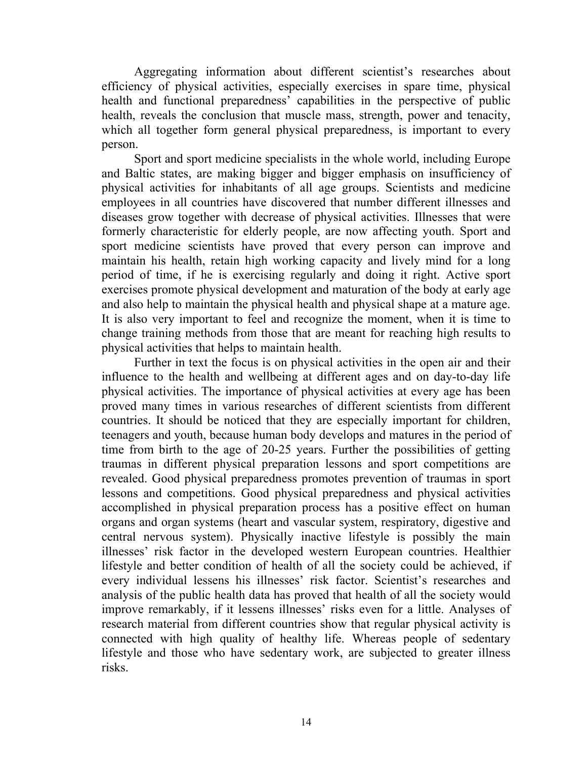Aggregating information about different scientist's researches about efficiency of physical activities, especially exercises in spare time, physical health and functional preparedness' capabilities in the perspective of public health, reveals the conclusion that muscle mass, strength, power and tenacity, which all together form general physical preparedness, is important to every person.

Sport and sport medicine specialists in the whole world, including Europe and Baltic states, are making bigger and bigger emphasis on insufficiency of physical activities for inhabitants of all age groups. Scientists and medicine employees in all countries have discovered that number different illnesses and diseases grow together with decrease of physical activities. Illnesses that were formerly characteristic for elderly people, are now affecting youth. Sport and sport medicine scientists have proved that every person can improve and maintain his health, retain high working capacity and lively mind for a long period of time, if he is exercising regularly and doing it right. Active sport exercises promote physical development and maturation of the body at early age and also help to maintain the physical health and physical shape at a mature age. It is also very important to feel and recognize the moment, when it is time to change training methods from those that are meant for reaching high results to physical activities that helps to maintain health.

Further in text the focus is on physical activities in the open air and their influence to the health and wellbeing at different ages and on day-to-day life physical activities. The importance of physical activities at every age has been proved many times in various researches of different scientists from different countries. It should be noticed that they are especially important for children, teenagers and youth, because human body develops and matures in the period of time from birth to the age of 20-25 years. Further the possibilities of getting traumas in different physical preparation lessons and sport competitions are revealed. Good physical preparedness promotes prevention of traumas in sport lessons and competitions. Good physical preparedness and physical activities accomplished in physical preparation process has a positive effect on human organs and organ systems (heart and vascular system, respiratory, digestive and central nervous system). Physically inactive lifestyle is possibly the main illnesses' risk factor in the developed western European countries. Healthier lifestyle and better condition of health of all the society could be achieved, if every individual lessens his illnesses' risk factor. Scientist's researches and analysis of the public health data has proved that health of all the society would improve remarkably, if it lessens illnesses' risks even for a little. Analyses of research material from different countries show that regular physical activity is connected with high quality of healthy life. Whereas people of sedentary lifestyle and those who have sedentary work, are subjected to greater illness risks.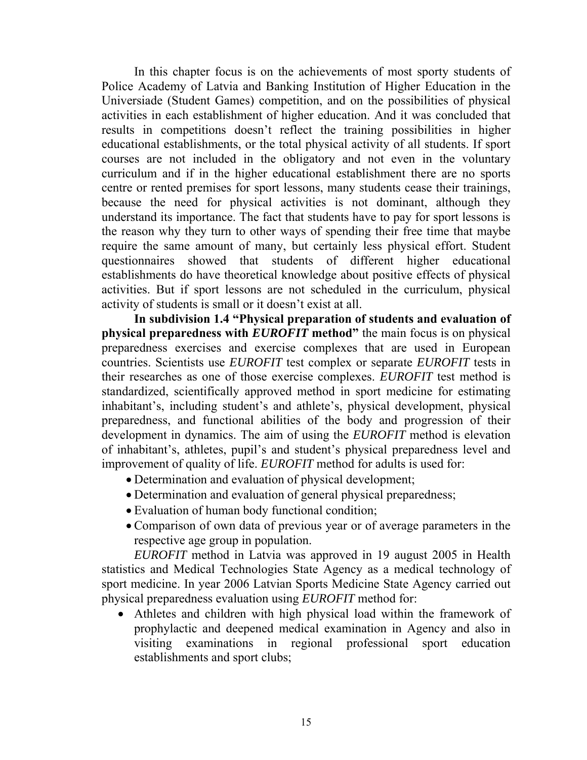In this chapter focus is on the achievements of most sporty students of Police Academy of Latvia and Banking Institution of Higher Education in the Universiade (Student Games) competition, and on the possibilities of physical activities in each establishment of higher education. And it was concluded that results in competitions doesn't reflect the training possibilities in higher educational establishments, or the total physical activity of all students. If sport courses are not included in the obligatory and not even in the voluntary curriculum and if in the higher educational establishment there are no sports centre or rented premises for sport lessons, many students cease their trainings, because the need for physical activities is not dominant, although they understand its importance. The fact that students have to pay for sport lessons is the reason why they turn to other ways of spending their free time that maybe require the same amount of many, but certainly less physical effort. Student questionnaires showed that students of different higher educational establishments do have theoretical knowledge about positive effects of physical activities. But if sport lessons are not scheduled in the curriculum, physical activity of students is small or it doesn't exist at all.

**In subdivision 1.4 "Physical preparation of students and evaluation of physical preparedness with** *EUROFIT* **method"** the main focus is on physical preparedness exercises and exercise complexes that are used in European countries. Scientists use *EUROFIT* test complex or separate *EUROFIT* tests in their researches as one of those exercise complexes. *EUROFIT* test method is standardized, scientifically approved method in sport medicine for estimating inhabitant's, including student's and athlete's, physical development, physical preparedness, and functional abilities of the body and progression of their development in dynamics. The aim of using the *EUROFIT* method is elevation of inhabitant's, athletes, pupil's and student's physical preparedness level and improvement of quality of life. *EUROFIT* method for adults is used for:

- Determination and evaluation of physical development;
- Determination and evaluation of general physical preparedness;
- Evaluation of human body functional condition;
- Comparison of own data of previous year or of average parameters in the respective age group in population.

*EUROFIT* method in Latvia was approved in 19 august 2005 in Health statistics and Medical Technologies State Agency as a medical technology of sport medicine. In year 2006 Latvian Sports Medicine State Agency carried out physical preparedness evaluation using *EUROFIT* method for:

• Athletes and children with high physical load within the framework of prophylactic and deepened medical examination in Agency and also in visiting examinations in regional professional sport education establishments and sport clubs;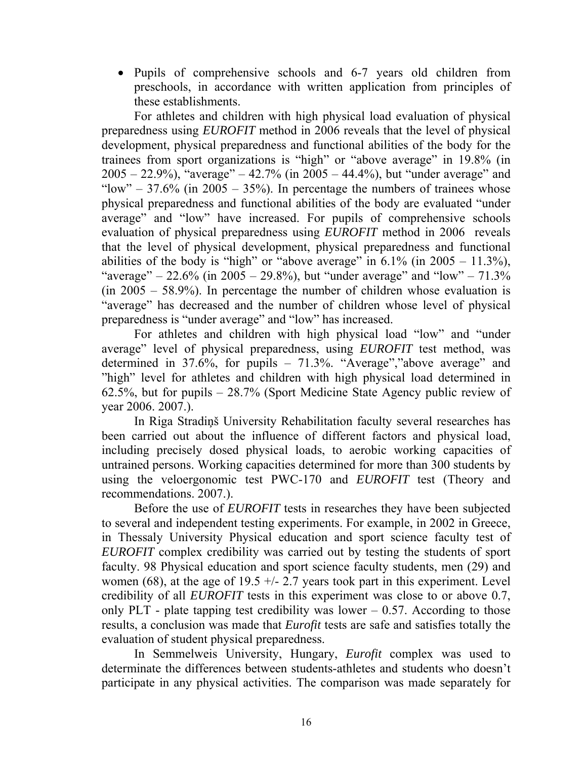• Pupils of comprehensive schools and 6-7 years old children from preschools, in accordance with written application from principles of these establishments.

For athletes and children with high physical load evaluation of physical preparedness using *EUROFIT* method in 2006 reveals that the level of physical development, physical preparedness and functional abilities of the body for the trainees from sport organizations is "high" or "above average" in 19.8% (in  $2005 - 22.9\%$ , "average" – 42.7% (in 2005 – 44.4%), but "under average" and "low" –  $37.6\%$  (in  $2005 - 35\%$ ). In percentage the numbers of trainees whose physical preparedness and functional abilities of the body are evaluated "under average" and "low" have increased. For pupils of comprehensive schools evaluation of physical preparedness using *EUROFIT* method in 2006 reveals that the level of physical development, physical preparedness and functional abilities of the body is "high" or "above average" in  $6.1\%$  (in  $2005 - 11.3\%$ ), "average" – 22.6% (in 2005 – 29.8%), but "under average" and "low" –  $71.3\%$  $(in 2005 - 58.9\%)$ . In percentage the number of children whose evaluation is "average" has decreased and the number of children whose level of physical preparedness is "under average" and "low" has increased.

For athletes and children with high physical load "low" and "under average" level of physical preparedness, using *EUROFIT* test method, was determined in 37.6%, for pupils – 71.3%. "Average","above average" and "high" level for athletes and children with high physical load determined in 62.5%, but for pupils – 28.7% (Sport Medicine State Agency public review of year 2006. 2007.).

In Riga Stradiņš University Rehabilitation faculty several researches has been carried out about the influence of different factors and physical load, including precisely dosed physical loads, to aerobic working capacities of untrained persons. Working capacities determined for more than 300 students by using the veloergonomic test PWC-170 and *EUROFIT* test (Theory and recommendations. 2007.).

Before the use of *EUROFIT* tests in researches they have been subjected to several and independent testing experiments. For example, in 2002 in Greece, in Thessaly University Physical education and sport science faculty test of *EUROFIT* complex credibility was carried out by testing the students of sport faculty. 98 Physical education and sport science faculty students, men (29) and women (68), at the age of 19.5  $+/- 2.7$  years took part in this experiment. Level credibility of all *EUROFIT* tests in this experiment was close to or above 0.7, only PLT - plate tapping test credibility was lower  $-0.57$ . According to those results, a conclusion was made that *Eurofit* tests are safe and satisfies totally the evaluation of student physical preparedness.

In Semmelweis University, Hungary, *Eurofit* complex was used to determinate the differences between students-athletes and students who doesn't participate in any physical activities. The comparison was made separately for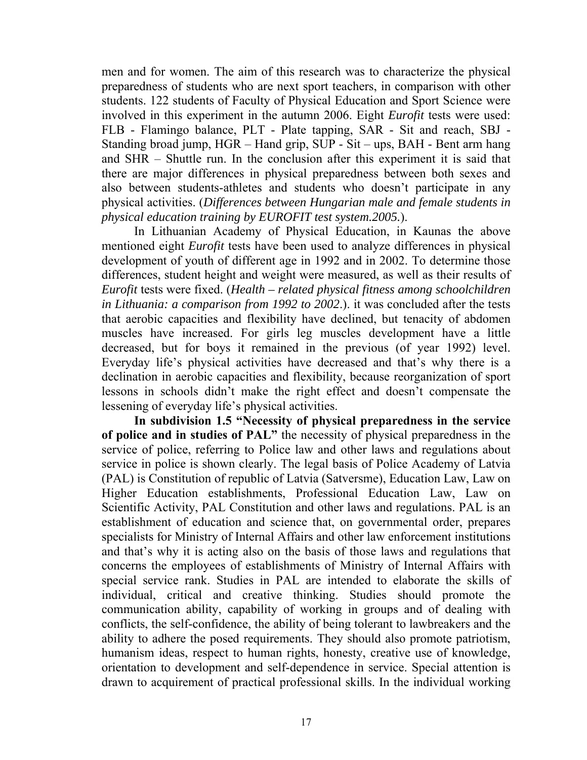men and for women. The aim of this research was to characterize the physical preparedness of students who are next sport teachers, in comparison with other students. 122 students of Faculty of Physical Education and Sport Science were involved in this experiment in the autumn 2006. Eight *Eurofit* tests were used: FLB - Flamingo balance, PLT - Plate tapping, SAR - Sit and reach, SBJ - Standing broad jump, HGR – Hand grip, SUP - Sit – ups, BAH - Bent arm hang and SHR – Shuttle run. In the conclusion after this experiment it is said that there are major differences in physical preparedness between both sexes and also between students-athletes and students who doesn't participate in any physical activities. (*Differences between Hungarian male and female students in physical education training by EUROFIT test system.2005.*).

In Lithuanian Academy of Physical Education, in Kaunas the above mentioned eight *Eurofit* tests have been used to analyze differences in physical development of youth of different age in 1992 and in 2002. To determine those differences, student height and weight were measured, as well as their results of *Eurofit* tests were fixed. (*Health – related physical fitness among schoolchildren in Lithuania: a comparison from 1992 to 2002*.). it was concluded after the tests that aerobic capacities and flexibility have declined, but tenacity of abdomen muscles have increased. For girls leg muscles development have a little decreased, but for boys it remained in the previous (of year 1992) level. Everyday life's physical activities have decreased and that's why there is a declination in aerobic capacities and flexibility, because reorganization of sport lessons in schools didn't make the right effect and doesn't compensate the lessening of everyday life's physical activities.

**In subdivision 1.5 "Necessity of physical preparedness in the service of police and in studies of PAL"** the necessity of physical preparedness in the service of police, referring to Police law and other laws and regulations about service in police is shown clearly. The legal basis of Police Academy of Latvia (PAL) is Constitution of republic of Latvia (Satversme), Education Law, Law on Higher Education establishments, Professional Education Law, Law on Scientific Activity, PAL Constitution and other laws and regulations. PAL is an establishment of education and science that, on governmental order, prepares specialists for Ministry of Internal Affairs and other law enforcement institutions and that's why it is acting also on the basis of those laws and regulations that concerns the employees of establishments of Ministry of Internal Affairs with special service rank. Studies in PAL are intended to elaborate the skills of individual, critical and creative thinking. Studies should promote the communication ability, capability of working in groups and of dealing with conflicts, the self-confidence, the ability of being tolerant to lawbreakers and the ability to adhere the posed requirements. They should also promote patriotism, humanism ideas, respect to human rights, honesty, creative use of knowledge, orientation to development and self-dependence in service. Special attention is drawn to acquirement of practical professional skills. In the individual working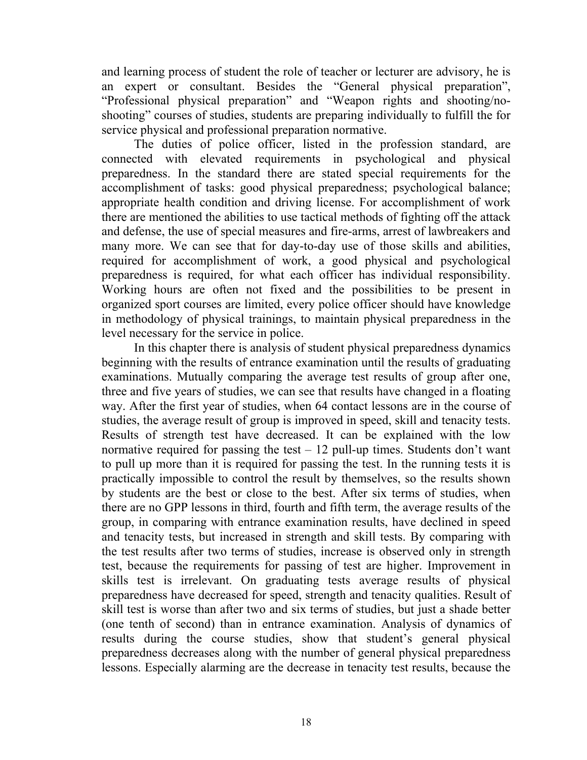and learning process of student the role of teacher or lecturer are advisory, he is an expert or consultant. Besides the "General physical preparation", "Professional physical preparation" and "Weapon rights and shooting/noshooting" courses of studies, students are preparing individually to fulfill the for service physical and professional preparation normative.

The duties of police officer, listed in the profession standard, are connected with elevated requirements in psychological and physical preparedness. In the standard there are stated special requirements for the accomplishment of tasks: good physical preparedness; psychological balance; appropriate health condition and driving license. For accomplishment of work there are mentioned the abilities to use tactical methods of fighting off the attack and defense, the use of special measures and fire-arms, arrest of lawbreakers and many more. We can see that for day-to-day use of those skills and abilities, required for accomplishment of work, a good physical and psychological preparedness is required, for what each officer has individual responsibility. Working hours are often not fixed and the possibilities to be present in organized sport courses are limited, every police officer should have knowledge in methodology of physical trainings, to maintain physical preparedness in the level necessary for the service in police.

In this chapter there is analysis of student physical preparedness dynamics beginning with the results of entrance examination until the results of graduating examinations. Mutually comparing the average test results of group after one, three and five years of studies, we can see that results have changed in a floating way. After the first year of studies, when 64 contact lessons are in the course of studies, the average result of group is improved in speed, skill and tenacity tests. Results of strength test have decreased. It can be explained with the low normative required for passing the test  $-12$  pull-up times. Students don't want to pull up more than it is required for passing the test. In the running tests it is practically impossible to control the result by themselves, so the results shown by students are the best or close to the best. After six terms of studies, when there are no GPP lessons in third, fourth and fifth term, the average results of the group, in comparing with entrance examination results, have declined in speed and tenacity tests, but increased in strength and skill tests. By comparing with the test results after two terms of studies, increase is observed only in strength test, because the requirements for passing of test are higher. Improvement in skills test is irrelevant. On graduating tests average results of physical preparedness have decreased for speed, strength and tenacity qualities. Result of skill test is worse than after two and six terms of studies, but just a shade better (one tenth of second) than in entrance examination. Analysis of dynamics of results during the course studies, show that student's general physical preparedness decreases along with the number of general physical preparedness lessons. Especially alarming are the decrease in tenacity test results, because the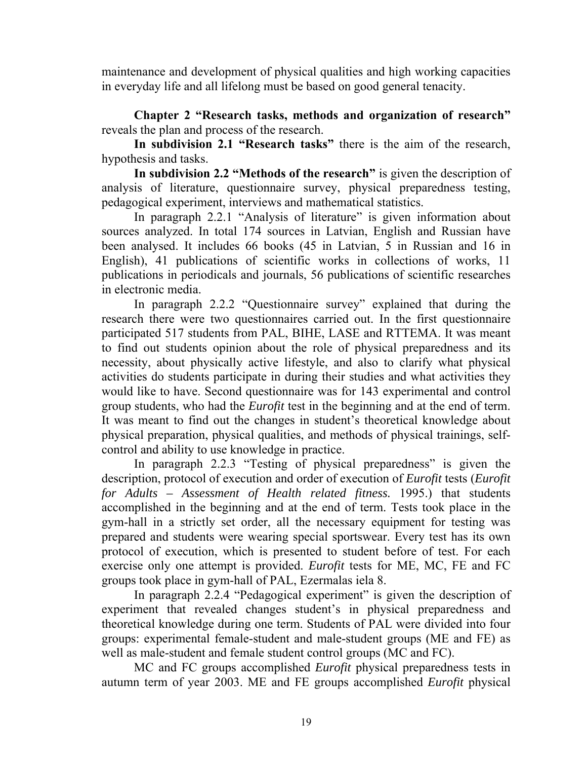maintenance and development of physical qualities and high working capacities in everyday life and all lifelong must be based on good general tenacity.

**Chapter 2 "Research tasks, methods and organization of research"** reveals the plan and process of the research.

**In subdivision 2.1 "Research tasks"** there is the aim of the research, hypothesis and tasks.

**In subdivision 2.2 "Methods of the research"** is given the description of analysis of literature, questionnaire survey, physical preparedness testing, pedagogical experiment, interviews and mathematical statistics.

In paragraph 2.2.1 "Analysis of literature" is given information about sources analyzed. In total 174 sources in Latvian, English and Russian have been analysed. It includes 66 books (45 in Latvian, 5 in Russian and 16 in English), 41 publications of scientific works in collections of works, 11 publications in periodicals and journals, 56 publications of scientific researches in electronic media.

In paragraph 2.2.2 "Questionnaire survey" explained that during the research there were two questionnaires carried out. In the first questionnaire participated 517 students from PAL, BIHE, LASE and RTTEMA. It was meant to find out students opinion about the role of physical preparedness and its necessity, about physically active lifestyle, and also to clarify what physical activities do students participate in during their studies and what activities they would like to have. Second questionnaire was for 143 experimental and control group students, who had the *Eurofit* test in the beginning and at the end of term. It was meant to find out the changes in student's theoretical knowledge about physical preparation, physical qualities, and methods of physical trainings, selfcontrol and ability to use knowledge in practice.

In paragraph 2.2.3 "Testing of physical preparedness" is given the description, protocol of execution and order of execution of *Eurofit* tests (*Eurofit for Adults – Assessment of Health related fitness.* 1995.) that students accomplished in the beginning and at the end of term. Tests took place in the gym-hall in a strictly set order, all the necessary equipment for testing was prepared and students were wearing special sportswear. Every test has its own protocol of execution, which is presented to student before of test. For each exercise only one attempt is provided. *Eurofit* tests for ME, MC, FE and FC groups took place in gym-hall of PAL, Ezermalas iela 8.

In paragraph 2.2.4 "Pedagogical experiment" is given the description of experiment that revealed changes student's in physical preparedness and theoretical knowledge during one term. Students of PAL were divided into four groups: experimental female-student and male-student groups (ME and FE) as well as male-student and female student control groups (MC and FC).

MC and FC groups accomplished *Eurofit* physical preparedness tests in autumn term of year 2003. ME and FE groups accomplished *Eurofit* physical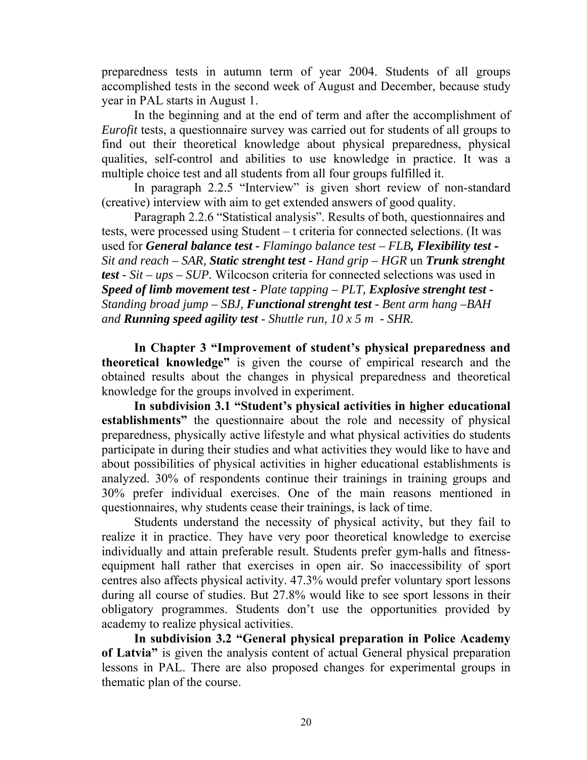preparedness tests in autumn term of year 2004. Students of all groups accomplished tests in the second week of August and December, because study year in PAL starts in August 1.

In the beginning and at the end of term and after the accomplishment of *Eurofit* tests, a questionnaire survey was carried out for students of all groups to find out their theoretical knowledge about physical preparedness, physical qualities, self-control and abilities to use knowledge in practice. It was a multiple choice test and all students from all four groups fulfilled it.

In paragraph 2.2.5 "Interview" is given short review of non-standard (creative) interview with aim to get extended answers of good quality.

Paragraph 2.2.6 "Statistical analysis". Results of both, questionnaires and tests, were processed using Student – t criteria for connected selections. (It was used for *General balance test - Flamingo balance test – FLB, Flexibility test* **-**  *Sit and reach – SAR, Static strenght test - Hand grip – HGR* un *Trunk strenght test - Sit – ups – SUP.* Wilcocson criteria for connected selections was used in *Speed of limb movement test - Plate tapping – PLT, Explosive strenght test - Standing broad jump – SBJ, Functional strenght test - Bent arm hang –BAH and Running speed agility test* - *Shuttle run, 10 x 5 m - SHR.*

**In Chapter 3 "Improvement of student's physical preparedness and theoretical knowledge"** is given the course of empirical research and the obtained results about the changes in physical preparedness and theoretical knowledge for the groups involved in experiment.

**In subdivision 3.1 "Student's physical activities in higher educational establishments"** the questionnaire about the role and necessity of physical preparedness, physically active lifestyle and what physical activities do students participate in during their studies and what activities they would like to have and about possibilities of physical activities in higher educational establishments is analyzed. 30% of respondents continue their trainings in training groups and 30% prefer individual exercises. One of the main reasons mentioned in questionnaires, why students cease their trainings, is lack of time.

Students understand the necessity of physical activity, but they fail to realize it in practice. They have very poor theoretical knowledge to exercise individually and attain preferable result. Students prefer gym-halls and fitnessequipment hall rather that exercises in open air. So inaccessibility of sport centres also affects physical activity. 47.3% would prefer voluntary sport lessons during all course of studies. But 27.8% would like to see sport lessons in their obligatory programmes. Students don't use the opportunities provided by academy to realize physical activities.

**In subdivision 3.2 "General physical preparation in Police Academy of Latvia"** is given the analysis content of actual General physical preparation lessons in PAL. There are also proposed changes for experimental groups in thematic plan of the course.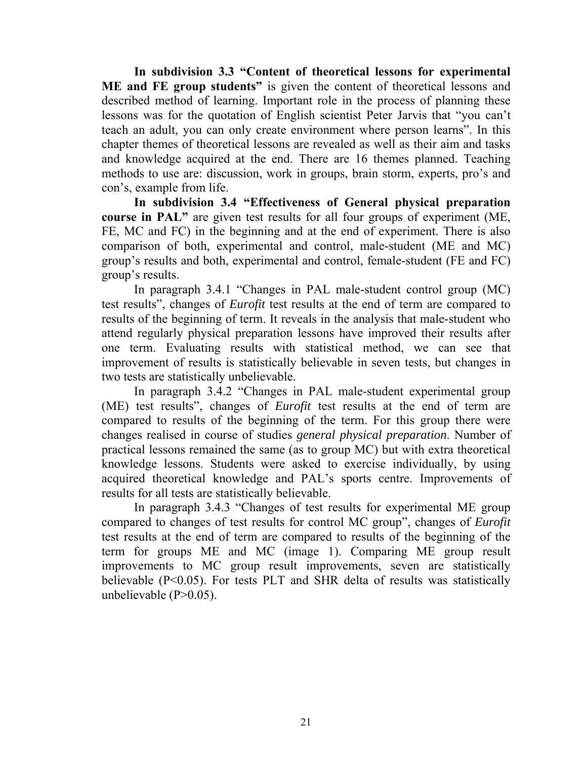**In subdivision 3.3 "Content of theoretical lessons for experimental ME and FE group students"** is given the content of theoretical lessons and described method of learning. Important role in the process of planning these lessons was for the quotation of English scientist Peter Jarvis that "you can't teach an adult, you can only create environment where person learns". In this chapter themes of theoretical lessons are revealed as well as their aim and tasks and knowledge acquired at the end. There are 16 themes planned. Teaching methods to use are: discussion, work in groups, brain storm, experts, pro's and con's, example from life.

**In subdivision 3.4 "Effectiveness of General physical preparation course in PAL"** are given test results for all four groups of experiment (ME, FE, MC and FC) in the beginning and at the end of experiment. There is also comparison of both, experimental and control, male-student (ME and MC) group's results and both, experimental and control, female-student (FE and FC) group's results.

In paragraph 3.4.1 "Changes in PAL male-student control group (MC) test results", changes of *Eurofit* test results at the end of term are compared to results of the beginning of term. It reveals in the analysis that male-student who attend regularly physical preparation lessons have improved their results after one term. Evaluating results with statistical method, we can see that improvement of results is statistically believable in seven tests, but changes in two tests are statistically unbelievable.

In paragraph 3.4.2 "Changes in PAL male-student experimental group (ME) test results", changes of *Eurofit* test results at the end of term are compared to results of the beginning of the term. For this group there were changes realised in course of studies *general physical preparation*. Number of practical lessons remained the same (as to group MC) but with extra theoretical knowledge lessons. Students were asked to exercise individually, by using acquired theoretical knowledge and PAL's sports centre. Improvements of results for all tests are statistically believable.

In paragraph 3.4.3 "Changes of test results for experimental ME group compared to changes of test results for control MC group", changes of *Eurofit* test results at the end of term are compared to results of the beginning of the term for groups ME and MC (image 1). Comparing ME group result improvements to MC group result improvements, seven are statistically believable (P<0.05). For tests PLT and SHR delta of results was statistically unbelievable  $(P>0.05)$ .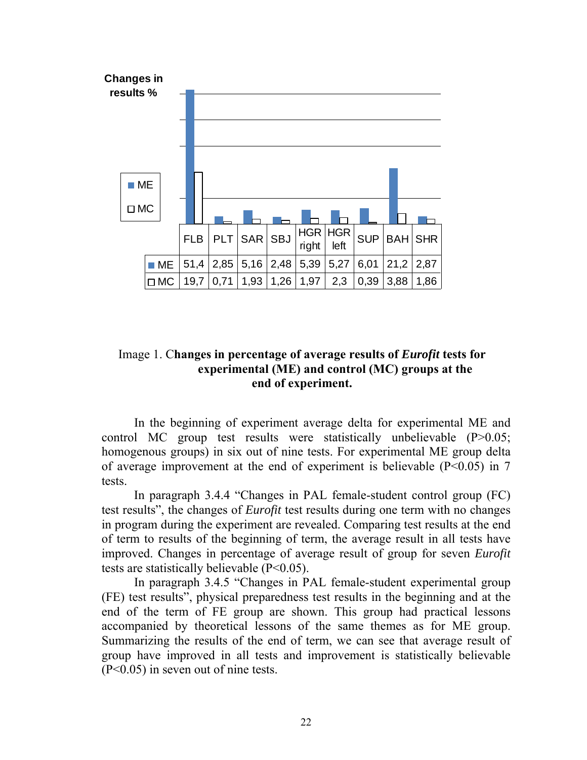

# Image 1. C**hanges in percentage of average results of** *Eurofit* **tests for experimental (ME) and control (MC) groups at the end of experiment.**

In the beginning of experiment average delta for experimental ME and control MC group test results were statistically unbelievable (P>0.05; homogenous groups) in six out of nine tests. For experimental ME group delta of average improvement at the end of experiment is believable  $(P<0.05)$  in 7 tests.

In paragraph 3.4.4 "Changes in PAL female-student control group (FC) test results", the changes of *Eurofit* test results during one term with no changes in program during the experiment are revealed. Comparing test results at the end of term to results of the beginning of term, the average result in all tests have improved. Changes in percentage of average result of group for seven *Eurofit* tests are statistically believable (P<0.05).

In paragraph 3.4.5 "Changes in PAL female-student experimental group (FE) test results", physical preparedness test results in the beginning and at the end of the term of FE group are shown. This group had practical lessons accompanied by theoretical lessons of the same themes as for ME group. Summarizing the results of the end of term, we can see that average result of group have improved in all tests and improvement is statistically believable (P<0.05) in seven out of nine tests.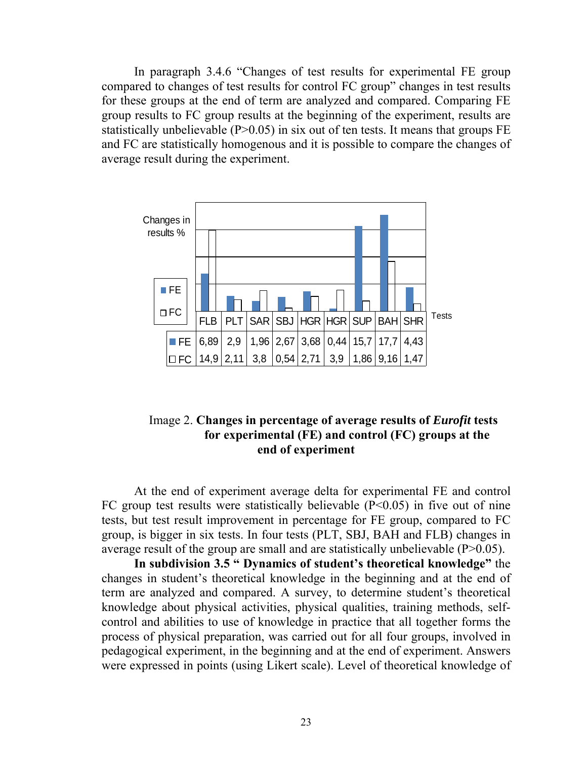In paragraph 3.4.6 "Changes of test results for experimental FE group compared to changes of test results for control FC group" changes in test results for these groups at the end of term are analyzed and compared. Comparing FE group results to FC group results at the beginning of the experiment, results are statistically unbelievable  $(P>0.05)$  in six out of ten tests. It means that groups FE and FC are statistically homogenous and it is possible to compare the changes of average result during the experiment.



### Image 2. **Changes in percentage of average results of** *Eurofit* **tests for experimental (FE) and control (FC) groups at the end of experiment**

At the end of experiment average delta for experimental FE and control FC group test results were statistically believable  $(P<0.05)$  in five out of nine tests, but test result improvement in percentage for FE group, compared to FC group, is bigger in six tests. In four tests (PLT, SBJ, BAH and FLB) changes in average result of the group are small and are statistically unbelievable (P>0.05).

**In subdivision 3.5 " Dynamics of student's theoretical knowledge"** the changes in student's theoretical knowledge in the beginning and at the end of term are analyzed and compared. A survey, to determine student's theoretical knowledge about physical activities, physical qualities, training methods, selfcontrol and abilities to use of knowledge in practice that all together forms the process of physical preparation, was carried out for all four groups, involved in pedagogical experiment, in the beginning and at the end of experiment. Answers were expressed in points (using Likert scale). Level of theoretical knowledge of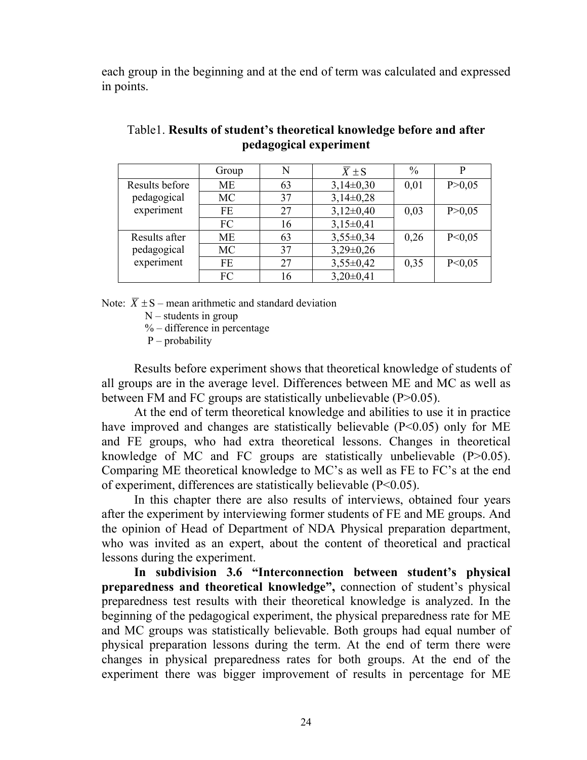each group in the beginning and at the end of term was calculated and expressed in points.

|                | Group     | N  | $\overline{X} \pm S$ | $\frac{0}{0}$ | p        |
|----------------|-----------|----|----------------------|---------------|----------|
| Results before | <b>ME</b> | 63 | $3,14\pm0,30$        | 0,01          | P > 0.05 |
| pedagogical    | MC        | 37 | $3,14\pm0,28$        |               |          |
| experiment     | FE        | 27 | $3,12\pm0,40$        | 0,03          | P > 0.05 |
|                | FC        | 16 | $3,15\pm0,41$        |               |          |
| Results after  | <b>ME</b> | 63 | $3,55\pm0,34$        | 0,26          | P < 0.05 |
| pedagogical    | <b>MC</b> | 37 | $3,29\pm0,26$        |               |          |
| experiment     | <b>FE</b> | 27 | $3,55\pm0,42$        | 0,35          | P < 0.05 |
|                | FC        | 16 | $3,20\pm0,41$        |               |          |

# Table1. **Results of student's theoretical knowledge before and after pedagogical experiment**

Note:  $\overline{X} \pm S$  – mean arithmetic and standard deviation

 $N$  – students in group

 $%$  – difference in percentage

P – probability

Results before experiment shows that theoretical knowledge of students of all groups are in the average level. Differences between ME and MC as well as between FM and FC groups are statistically unbelievable (P>0.05).

At the end of term theoretical knowledge and abilities to use it in practice have improved and changes are statistically believable  $(P<0.05)$  only for ME and FE groups, who had extra theoretical lessons. Changes in theoretical knowledge of MC and FC groups are statistically unbelievable  $(P>0.05)$ . Comparing ME theoretical knowledge to MC's as well as FE to FC's at the end of experiment, differences are statistically believable (P<0.05).

In this chapter there are also results of interviews, obtained four years after the experiment by interviewing former students of FE and ME groups. And the opinion of Head of Department of NDA Physical preparation department, who was invited as an expert, about the content of theoretical and practical lessons during the experiment.

**In subdivision 3.6 "Interconnection between student's physical preparedness and theoretical knowledge",** connection of student's physical preparedness test results with their theoretical knowledge is analyzed. In the beginning of the pedagogical experiment, the physical preparedness rate for ME and MC groups was statistically believable. Both groups had equal number of physical preparation lessons during the term. At the end of term there were changes in physical preparedness rates for both groups. At the end of the experiment there was bigger improvement of results in percentage for ME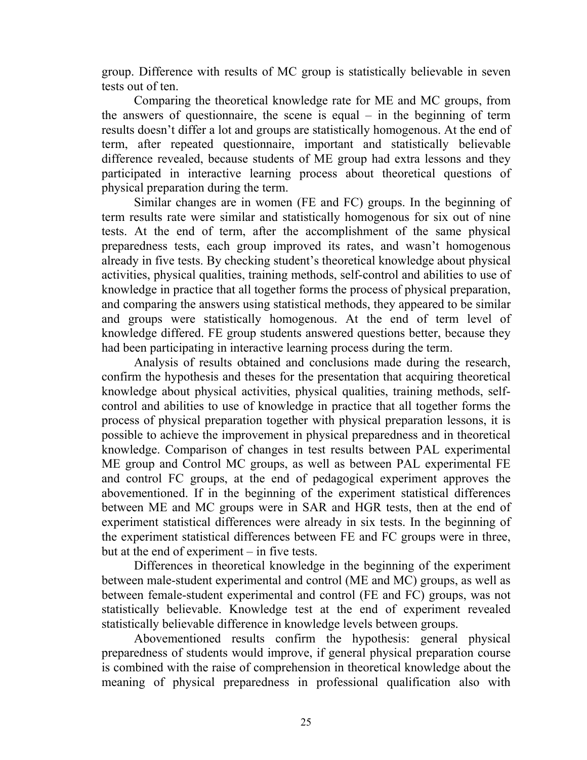group. Difference with results of MC group is statistically believable in seven tests out of ten.

Comparing the theoretical knowledge rate for ME and MC groups, from the answers of questionnaire, the scene is equal – in the beginning of term results doesn't differ a lot and groups are statistically homogenous. At the end of term, after repeated questionnaire, important and statistically believable difference revealed, because students of ME group had extra lessons and they participated in interactive learning process about theoretical questions of physical preparation during the term.

Similar changes are in women (FE and FC) groups. In the beginning of term results rate were similar and statistically homogenous for six out of nine tests. At the end of term, after the accomplishment of the same physical preparedness tests, each group improved its rates, and wasn't homogenous already in five tests. By checking student's theoretical knowledge about physical activities, physical qualities, training methods, self-control and abilities to use of knowledge in practice that all together forms the process of physical preparation, and comparing the answers using statistical methods, they appeared to be similar and groups were statistically homogenous. At the end of term level of knowledge differed. FE group students answered questions better, because they had been participating in interactive learning process during the term.

Analysis of results obtained and conclusions made during the research, confirm the hypothesis and theses for the presentation that acquiring theoretical knowledge about physical activities, physical qualities, training methods, selfcontrol and abilities to use of knowledge in practice that all together forms the process of physical preparation together with physical preparation lessons, it is possible to achieve the improvement in physical preparedness and in theoretical knowledge. Comparison of changes in test results between PAL experimental ME group and Control MC groups, as well as between PAL experimental FE and control FC groups, at the end of pedagogical experiment approves the abovementioned. If in the beginning of the experiment statistical differences between ME and MC groups were in SAR and HGR tests, then at the end of experiment statistical differences were already in six tests. In the beginning of the experiment statistical differences between FE and FC groups were in three, but at the end of experiment – in five tests.

Differences in theoretical knowledge in the beginning of the experiment between male-student experimental and control (ME and MC) groups, as well as between female-student experimental and control (FE and FC) groups, was not statistically believable. Knowledge test at the end of experiment revealed statistically believable difference in knowledge levels between groups.

Abovementioned results confirm the hypothesis: general physical preparedness of students would improve, if general physical preparation course is combined with the raise of comprehension in theoretical knowledge about the meaning of physical preparedness in professional qualification also with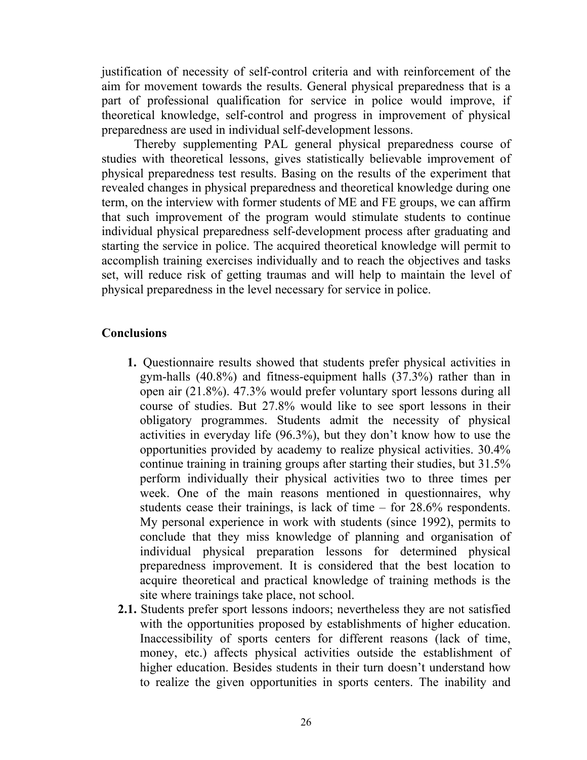justification of necessity of self-control criteria and with reinforcement of the aim for movement towards the results. General physical preparedness that is a part of professional qualification for service in police would improve, if theoretical knowledge, self-control and progress in improvement of physical preparedness are used in individual self-development lessons.

Thereby supplementing PAL general physical preparedness course of studies with theoretical lessons, gives statistically believable improvement of physical preparedness test results. Basing on the results of the experiment that revealed changes in physical preparedness and theoretical knowledge during one term, on the interview with former students of ME and FE groups, we can affirm that such improvement of the program would stimulate students to continue individual physical preparedness self-development process after graduating and starting the service in police. The acquired theoretical knowledge will permit to accomplish training exercises individually and to reach the objectives and tasks set, will reduce risk of getting traumas and will help to maintain the level of physical preparedness in the level necessary for service in police.

# **Conclusions**

- **1.** Questionnaire results showed that students prefer physical activities in gym-halls (40.8%) and fitness-equipment halls (37.3%) rather than in open air (21.8%). 47.3% would prefer voluntary sport lessons during all course of studies. But 27.8% would like to see sport lessons in their obligatory programmes. Students admit the necessity of physical activities in everyday life (96.3%), but they don't know how to use the opportunities provided by academy to realize physical activities. 30.4% continue training in training groups after starting their studies, but 31.5% perform individually their physical activities two to three times per week. One of the main reasons mentioned in questionnaires, why students cease their trainings, is lack of time – for 28.6% respondents. My personal experience in work with students (since 1992), permits to conclude that they miss knowledge of planning and organisation of individual physical preparation lessons for determined physical preparedness improvement. It is considered that the best location to acquire theoretical and practical knowledge of training methods is the site where trainings take place, not school.
- **2.1.** Students prefer sport lessons indoors; nevertheless they are not satisfied with the opportunities proposed by establishments of higher education. Inaccessibility of sports centers for different reasons (lack of time, money, etc.) affects physical activities outside the establishment of higher education. Besides students in their turn doesn't understand how to realize the given opportunities in sports centers. The inability and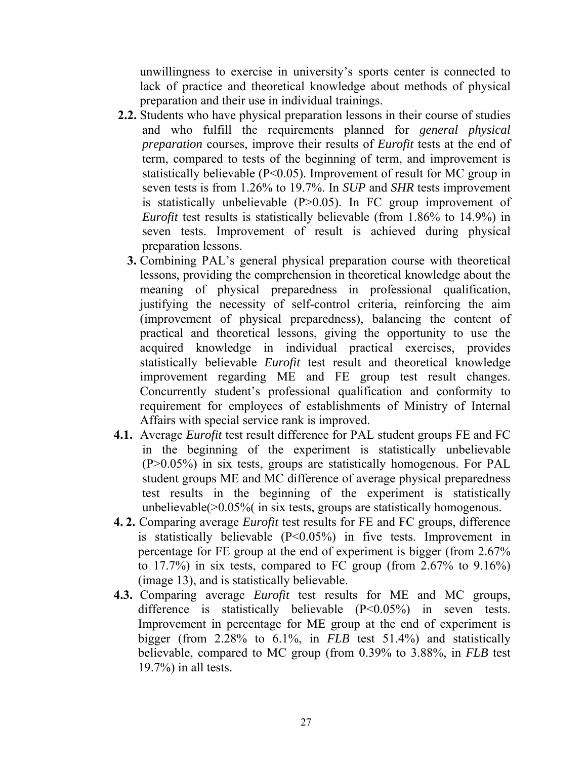unwillingness to exercise in university's sports center is connected to lack of practice and theoretical knowledge about methods of physical preparation and their use in individual trainings.

- **2.2.** Students who have physical preparation lessons in their course of studies and who fulfill the requirements planned for *general physical preparation* courses, improve their results of *Eurofit* tests at the end of term, compared to tests of the beginning of term, and improvement is statistically believable (P<0.05). Improvement of result for MC group in seven tests is from 1.26% to 19.7%. In *SUP* and *SHR* tests improvement is statistically unbelievable (P>0.05). In FC group improvement of *Eurofit* test results is statistically believable (from 1.86% to 14.9%) in seven tests. Improvement of result is achieved during physical preparation lessons.
	- **3.** Combining PAL's general physical preparation course with theoretical lessons, providing the comprehension in theoretical knowledge about the meaning of physical preparedness in professional qualification, justifying the necessity of self-control criteria, reinforcing the aim (improvement of physical preparedness), balancing the content of practical and theoretical lessons, giving the opportunity to use the acquired knowledge in individual practical exercises, provides statistically believable *Eurofit* test result and theoretical knowledge improvement regarding ME and FE group test result changes. Concurrently student's professional qualification and conformity to requirement for employees of establishments of Ministry of Internal Affairs with special service rank is improved.
- **4.1.** Average *Eurofit* test result difference for PAL student groups FE and FC in the beginning of the experiment is statistically unbelievable (P>0.05%) in six tests, groups are statistically homogenous. For PAL student groups ME and MC difference of average physical preparedness test results in the beginning of the experiment is statistically unbelievable( $>0.05\%$  (in six tests, groups are statistically homogenous.
- **4. 2.** Comparing average *Eurofit* test results for FE and FC groups, difference is statistically believable (P<0.05%) in five tests. Improvement in percentage for FE group at the end of experiment is bigger (from 2.67% to 17.7%) in six tests, compared to FC group (from 2.67% to 9.16%) (image 13), and is statistically believable.
- **4.3.** Comparing average *Eurofit* test results for ME and MC groups, difference is statistically believable (P<0.05%) in seven tests. Improvement in percentage for ME group at the end of experiment is bigger (from 2.28% to 6.1%, in *FLB* test 51.4%) and statistically believable, compared to MC group (from 0.39% to 3.88%, in *FLB* test 19.7%) in all tests.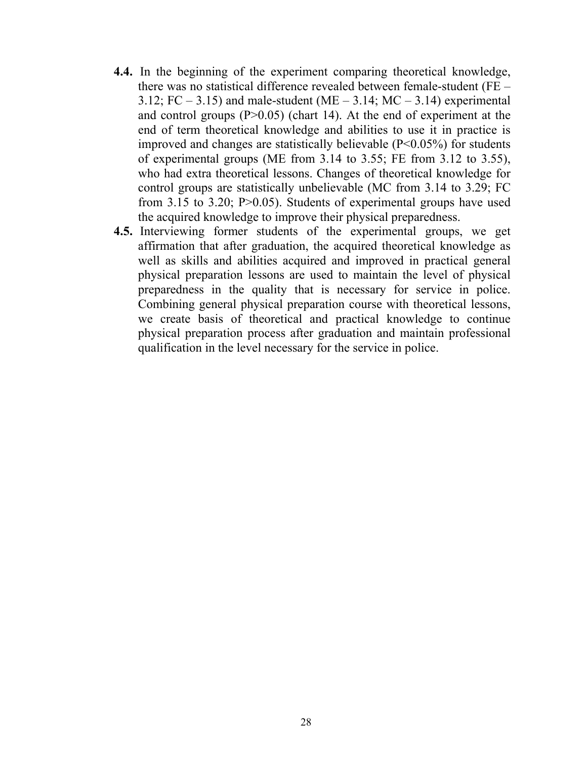- **4.4.** In the beginning of the experiment comparing theoretical knowledge, there was no statistical difference revealed between female-student (FE – 3.12; FC – 3.15) and male-student (ME – 3.14; MC – 3.14) experimental and control groups  $(P>0.05)$  (chart 14). At the end of experiment at the end of term theoretical knowledge and abilities to use it in practice is improved and changes are statistically believable  $(P<0.05\%)$  for students of experimental groups (ME from 3.14 to 3.55; FE from 3.12 to 3.55), who had extra theoretical lessons. Changes of theoretical knowledge for control groups are statistically unbelievable (MC from 3.14 to 3.29; FC from 3.15 to 3.20; P>0.05). Students of experimental groups have used the acquired knowledge to improve their physical preparedness.
- **4.5.** Interviewing former students of the experimental groups, we get affirmation that after graduation, the acquired theoretical knowledge as well as skills and abilities acquired and improved in practical general physical preparation lessons are used to maintain the level of physical preparedness in the quality that is necessary for service in police. Combining general physical preparation course with theoretical lessons, we create basis of theoretical and practical knowledge to continue physical preparation process after graduation and maintain professional qualification in the level necessary for the service in police.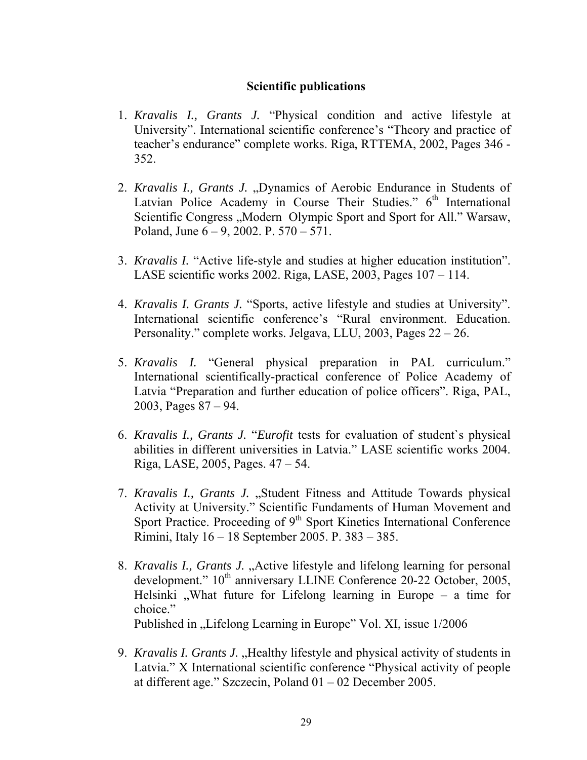# **Scientific publications**

- 1. *Kravalis I., Grants J.* "Physical condition and active lifestyle at University". International scientific conference's "Theory and practice of teacher's endurance" complete works. Riga, RTTEMA, 2002, Pages 346 - 352.
- 2. *Kravalis I., Grants J.*, Dynamics of Aerobic Endurance in Students of Latvian Police Academy in Course Their Studies."  $6<sup>th</sup>$  International Scientific Congress "Modern Olympic Sport and Sport for All." Warsaw, Poland, June 6 – 9, 2002. P. 570 – 571.
- 3. *Kravalis I.* "Active life-style and studies at higher education institution". LASE scientific works 2002. Riga, LASE, 2003, Pages 107 – 114.
- 4. *Kravalis I. Grants J.* "Sports, active lifestyle and studies at University". International scientific conference's "Rural environment. Education. Personality." complete works. Jelgava, LLU, 2003, Pages 22 – 26.
- 5. *Kravalis I.* "General physical preparation in PAL curriculum." International scientifically-practical conference of Police Academy of Latvia "Preparation and further education of police officers". Riga, PAL, 2003, Pages 87 – 94.
- 6. *Kravalis I., Grants J.* "*Eurofit* tests for evaluation of student`s physical abilities in different universities in Latvia." LASE scientific works 2004. Riga, LASE, 2005, Pages. 47 – 54.
- 7. *Kravalis I., Grants J.* "Student Fitness and Attitude Towards physical Activity at University." Scientific Fundaments of Human Movement and Sport Practice. Proceeding of  $9<sup>th</sup>$  Sport Kinetics International Conference Rimini, Italy 16 – 18 September 2005. P. 383 – 385.
- 8. *Kravalis I., Grants J.* "Active lifestyle and lifelong learning for personal development."  $10^{th}$  anniversary LLINE Conference 20-22 October, 2005, Helsinki , What future for Lifelong learning in Europe – a time for choice." Published in "Lifelong Learning in Europe" Vol. XI, issue  $1/2006$
- 9. *Kravalis I. Grants J.* "Healthy lifestyle and physical activity of students in Latvia." X International scientific conference "Physical activity of people at different age." Szczecin, Poland 01 – 02 December 2005.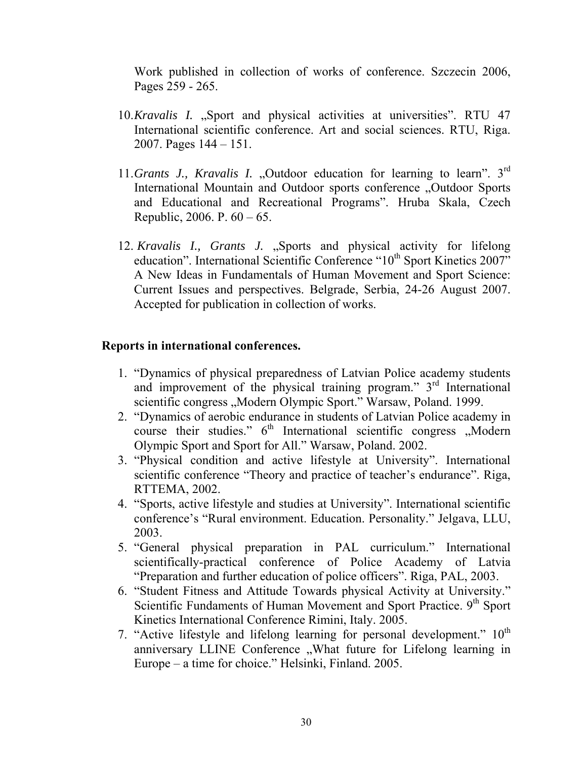Work published in collection of works of conference. Szczecin 2006, Pages 259 - 265.

- 10.*Kravalis I.* "Sport and physical activities at universities". RTU 47 International scientific conference. Art and social sciences. RTU, Riga. 2007. Pages 144 – 151.
- 11.*Grants J., Kravalis I.* "Outdoor education for learning to learn". 3<sup>rd</sup> International Mountain and Outdoor sports conference "Outdoor Sports and Educational and Recreational Programs". Hruba Skala, Czech Republic, 2006. P.  $60 - 65$ .
- 12. *Kravalis I., Grants J.* "Sports and physical activity for lifelong education". International Scientific Conference "10<sup>th</sup> Sport Kinetics 2007" A New Ideas in Fundamentals of Human Movement and Sport Science: Current Issues and perspectives. Belgrade, Serbia, 24-26 August 2007. Accepted for publication in collection of works.

### **Reports in international conferences.**

- 1. "Dynamics of physical preparedness of Latvian Police academy students and improvement of the physical training program." 3<sup>rd</sup> International scientific congress "Modern Olympic Sport." Warsaw, Poland. 1999.
- 2. "Dynamics of aerobic endurance in students of Latvian Police academy in course their studies."  $6<sup>th</sup>$  International scientific congress  $Moderin$ Olympic Sport and Sport for All." Warsaw, Poland. 2002.
- 3. "Physical condition and active lifestyle at University". International scientific conference "Theory and practice of teacher's endurance". Riga, RTTEMA, 2002.
- 4. "Sports, active lifestyle and studies at University". International scientific conference's "Rural environment. Education. Personality." Jelgava, LLU, 2003.
- 5. "General physical preparation in PAL curriculum." International scientifically-practical conference of Police Academy of Latvia "Preparation and further education of police officers". Riga, PAL, 2003.
- 6. "Student Fitness and Attitude Towards physical Activity at University." Scientific Fundaments of Human Movement and Sport Practice. 9<sup>th</sup> Sport Kinetics International Conference Rimini, Italy. 2005.
- 7. "Active lifestyle and lifelong learning for personal development."  $10<sup>th</sup>$ anniversary LLINE Conference "What future for Lifelong learning in Europe – a time for choice." Helsinki, Finland. 2005.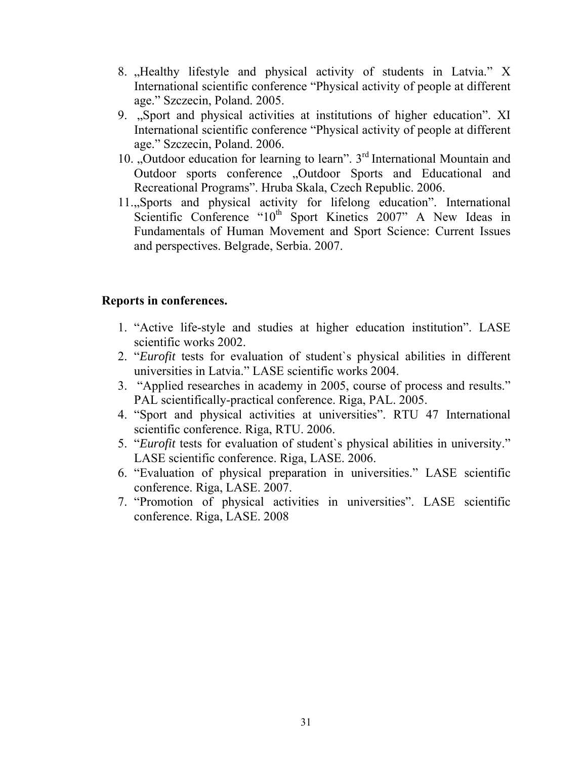- 8. "Healthy lifestyle and physical activity of students in Latvia." X International scientific conference "Physical activity of people at different age." Szczecin, Poland. 2005.
- 9. "Sport and physical activities at institutions of higher education". XI International scientific conference "Physical activity of people at different age." Szczecin, Poland. 2006.
- 10. "Outdoor education for learning to learn".  $3<sup>rd</sup>$  International Mountain and Outdoor sports conference "Outdoor Sports and Educational and Recreational Programs". Hruba Skala, Czech Republic. 2006.
- 11., Sports and physical activity for lifelong education". International Scientific Conference "10<sup>th</sup> Sport Kinetics 2007" A New Ideas in Fundamentals of Human Movement and Sport Science: Current Issues and perspectives. Belgrade, Serbia. 2007.

# **Reports in conferences.**

- 1. "Active life-style and studies at higher education institution". LASE scientific works 2002.
- 2. "*Eurofit* tests for evaluation of student`s physical abilities in different universities in Latvia." LASE scientific works 2004.
- 3. "Applied researches in academy in 2005, course of process and results." PAL scientifically-practical conference. Riga, PAL. 2005.
- 4. "Sport and physical activities at universities". RTU 47 International scientific conference. Riga, RTU. 2006.
- 5. "*Eurofit* tests for evaluation of student`s physical abilities in university." LASE scientific conference. Riga, LASE. 2006.
- 6. "Evaluation of physical preparation in universities." LASE scientific conference. Riga, LASE. 2007.
- 7. "Promotion of physical activities in universities". LASE scientific conference. Riga, LASE. 2008